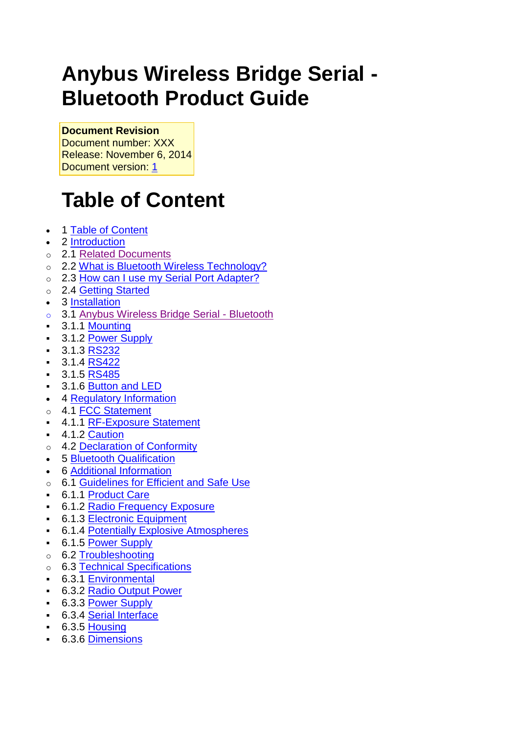# **Anybus Wireless Bridge Serial - Bluetooth Product Guide**

**Document Revision** Document number: XXX

Release: November 6, 2014 Document version: [1](file:///C:/pages/viewpage.action%3fpageId=22413349)

# <span id="page-0-0"></span>**Table of Content**

- 1 [Table of Content](#page-0-0)
- 2 [Introduction](#page-1-0)
- o 2.1 [Related Documents](#page-1-1)
- o 2.2 [What is Bluetooth Wireless Technology?](#page-1-2)
- o 2.3 [How can I use my Serial Port Adapter?](#page-2-0)
- o 2.4 [Getting Started](#page-2-1)
- 3 [Installation](#page-3-0)
- o 3.1 [Anybus Wireless Bridge Serial -](#page-3-1) Bluetooth
- 3.1.1 [Mounting](#page-3-2)
- **3.1.2 [Power Supply](#page-4-0)**
- $-3.1.3$  [RS232](#page-5-0)
- $-3.1.4$  [RS422](#page-6-0)
- $-3.1.5$  [RS485](#page-7-0)
- **3.1.6 [Button and LED](#page-7-1)**
- 4 [Regulatory Information](#page-8-0)
- o 4.1 [FCC Statement](#page-8-1)
- 4.1.1 [RF-Exposure Statement](#page-8-2)
- 4.1.2 [Caution](#page-8-3)
- o 4.2 [Declaration of Conformity](#page-9-0)
- 5 [Bluetooth Qualification](#page-9-1)
- 6 [Additional Information](#page-10-0)
- o 6.1 [Guidelines for Efficient and Safe Use](#page-10-1)
- 6.1.1 [Product Care](#page-10-2)
- 6.1.2 [Radio Frequency Exposure](#page-10-3)
- 6.1.3 [Electronic Equipment](#page-10-4)
- 6.1.4 [Potentially Explosive Atmospheres](#page-11-0)
- **6.1.5 [Power Supply](#page-11-1)**
- o 6.2 [Troubleshooting](#page-11-2)
- o 6.3 [Technical Specifications](#page-13-0)
- 6.3.1 [Environmental](#page-13-1)
- 6.3.2 [Radio Output Power](#page-13-2)
- 6.3.3 [Power Supply](#page-13-3)
- 6.3.4 [Serial Interface](#page-13-4)
- $-6.3.5$  [Housing](#page-13-5)
- 6.3.6 [Dimensions](#page-13-6)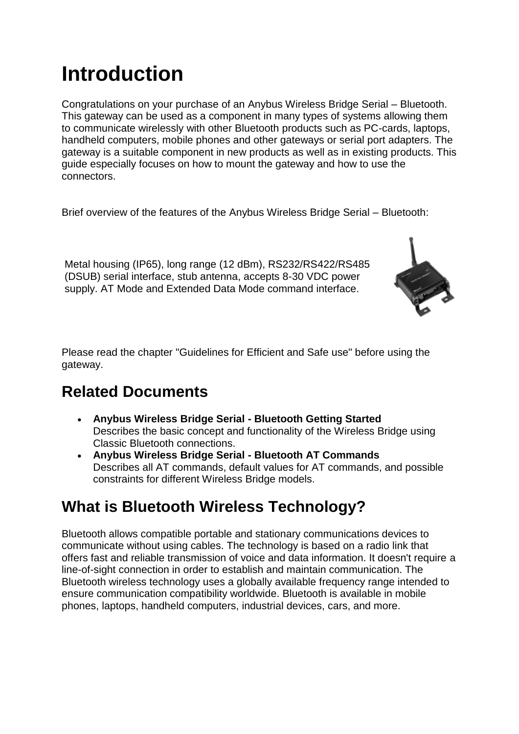# <span id="page-1-0"></span>**Introduction**

Congratulations on your purchase of an Anybus Wireless Bridge Serial – Bluetooth. This gateway can be used as a component in many types of systems allowing them to communicate wirelessly with other Bluetooth products such as PC-cards, laptops, handheld computers, mobile phones and other gateways or serial port adapters. The gateway is a suitable component in new products as well as in existing products. This guide especially focuses on how to mount the gateway and how to use the connectors.

Brief overview of the features of the Anybus Wireless Bridge Serial – Bluetooth:

Metal housing (IP65), long range (12 dBm), RS232/RS422/RS485 (DSUB) serial interface, stub antenna, accepts 8-30 VDC power supply. AT Mode and Extended Data Mode command interface.



Please read the chapter "Guidelines for Efficient and Safe use" before using the gateway.

# <span id="page-1-1"></span>**Related Documents**

- **Anybus Wireless Bridge Serial - Bluetooth Getting Started** Describes the basic concept and functionality of the Wireless Bridge using Classic Bluetooth connections.
- **Anybus Wireless Bridge Serial - Bluetooth AT Commands** Describes all AT commands, default values for AT commands, and possible constraints for different Wireless Bridge models.

# <span id="page-1-2"></span>**What is Bluetooth Wireless Technology?**

Bluetooth allows compatible portable and stationary communications devices to communicate without using cables. The technology is based on a radio link that offers fast and reliable transmission of voice and data information. It doesn't require a line-of-sight connection in order to establish and maintain communication. The Bluetooth wireless technology uses a globally available frequency range intended to ensure communication compatibility worldwide. Bluetooth is available in mobile phones, laptops, handheld computers, industrial devices, cars, and more.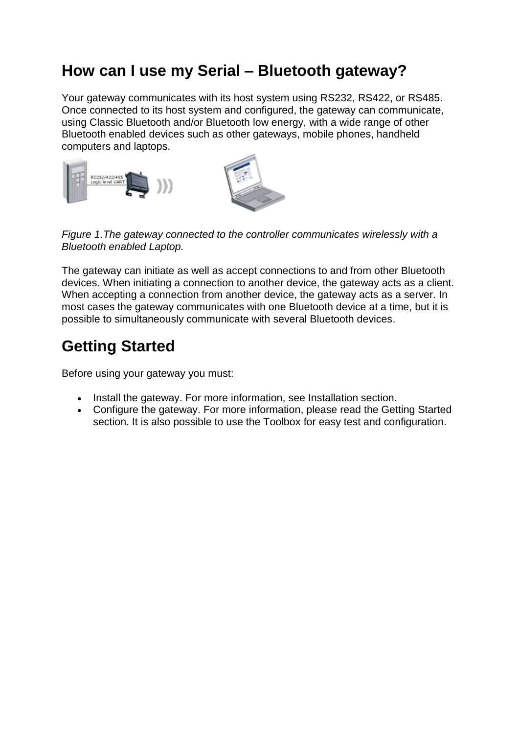# <span id="page-2-0"></span>**How can I use my Serial – Bluetooth gateway?**

Your gateway communicates with its host system using RS232, RS422, or RS485. Once connected to its host system and configured, the gateway can communicate, using Classic Bluetooth and/or Bluetooth low energy, with a wide range of other Bluetooth enabled devices such as other gateways, mobile phones, handheld computers and laptops.



*Figure 1.The gateway connected to the controller communicates wirelessly with a Bluetooth enabled Laptop.*

The gateway can initiate as well as accept connections to and from other Bluetooth devices. When initiating a connection to another device, the gateway acts as a client. When accepting a connection from another device, the gateway acts as a server. In most cases the gateway communicates with one Bluetooth device at a time, but it is possible to simultaneously communicate with several Bluetooth devices.

# <span id="page-2-1"></span>**Getting Started**

Before using your gateway you must:

- Install the gateway. For more information, see Installation section.
- Configure the gateway. For more information, please read the Getting Started section. It is also possible to use the Toolbox for easy test and configuration.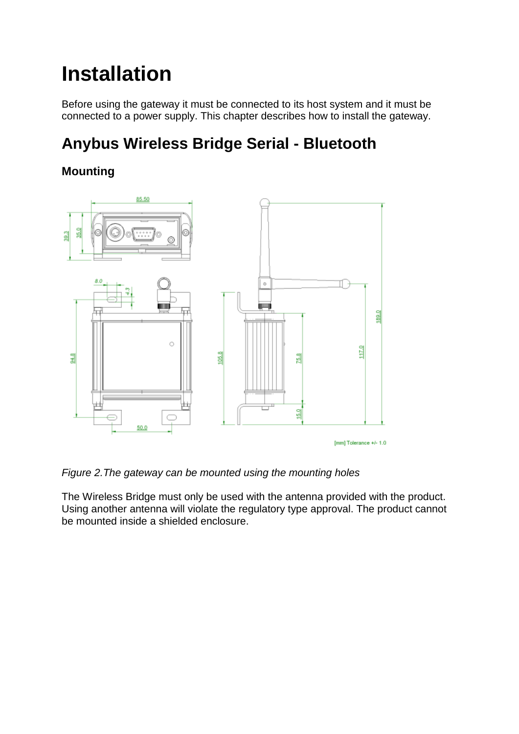# <span id="page-3-0"></span>**Installation**

Before using the gateway it must be connected to its host system and it must be connected to a power supply. This chapter describes how to install the gateway.

# <span id="page-3-1"></span>**Anybus Wireless Bridge Serial - Bluetooth**

# <span id="page-3-2"></span>**Mounting**



*Figure 2.The gateway can be mounted using the mounting holes*

The Wireless Bridge must only be used with the antenna provided with the product. Using another antenna will violate the regulatory type approval. The product cannot be mounted inside a shielded enclosure.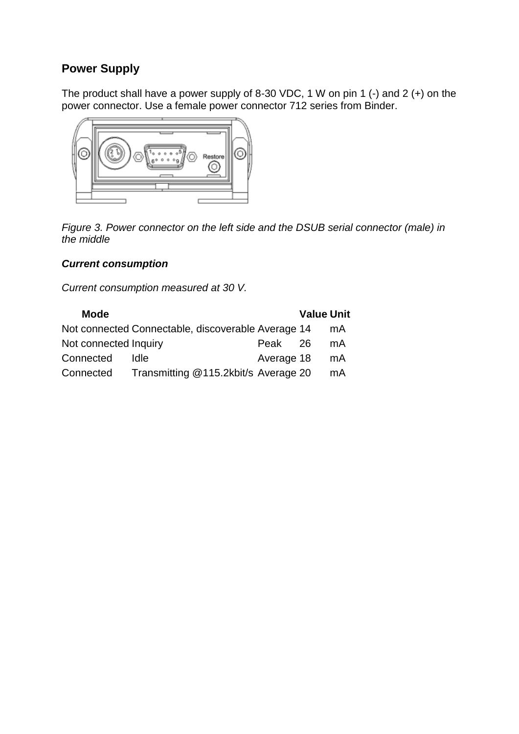# <span id="page-4-0"></span>**Power Supply**

The product shall have a power supply of 8-30 VDC, 1 W on pin 1 (-) and 2 (+) on the power connector. Use a female power connector 712 series from Binder.



*Figure 3. Power connector on the left side and the DSUB serial connector (male) in the middle*

#### *Current consumption*

*Current consumption measured at 30 V.*

| <b>Mode</b>           |                                                    |            | <b>Value Unit</b> |    |
|-----------------------|----------------------------------------------------|------------|-------------------|----|
|                       | Not connected Connectable, discoverable Average 14 |            |                   | mA |
| Not connected Inquiry |                                                    | Peak 26    |                   | mA |
| Connected             | ldle.                                              | Average 18 |                   | mA |
| Connected             | Transmitting @115.2kbit/s Average 20               |            |                   | mA |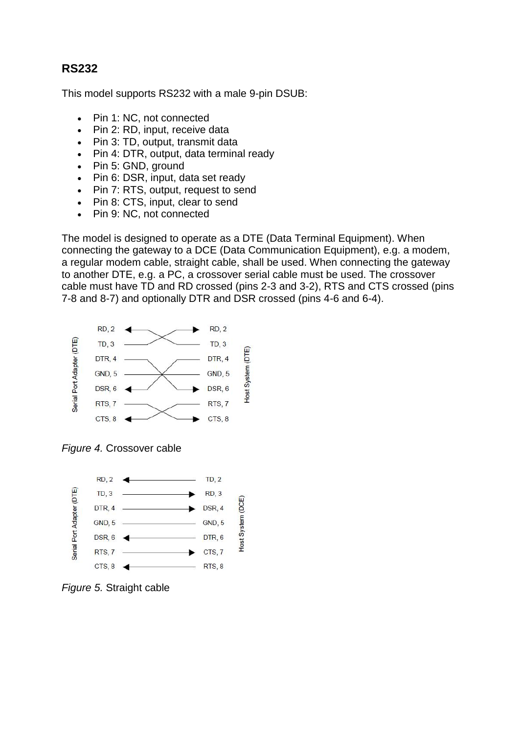### <span id="page-5-0"></span>**RS232**

This model supports RS232 with a male 9-pin DSUB:

- Pin 1: NC, not connected
- Pin 2: RD, input, receive data
- Pin 3: TD, output, transmit data
- Pin 4: DTR, output, data terminal ready
- Pin 5: GND, ground
- Pin 6: DSR, input, data set ready
- Pin 7: RTS, output, request to send
- Pin 8: CTS, input, clear to send
- Pin 9: NC, not connected

The model is designed to operate as a DTE (Data Terminal Equipment). When connecting the gateway to a DCE (Data Communication Equipment), e.g. a modem, a regular modem cable, straight cable, shall be used. When connecting the gateway to another DTE, e.g. a PC, a crossover serial cable must be used. The crossover cable must have TD and RD crossed (pins 2-3 and 3-2), RTS and CTS crossed (pins 7-8 and 8-7) and optionally DTR and DSR crossed (pins 4-6 and 6-4).



*Figure 4.* Crossover cable



*Figure 5.* Straight cable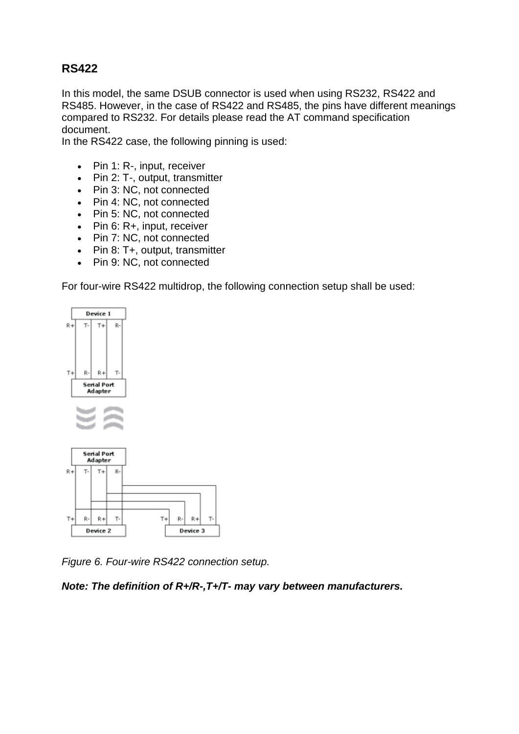## <span id="page-6-0"></span>**RS422**

In this model, the same DSUB connector is used when using RS232, RS422 and RS485. However, in the case of RS422 and RS485, the pins have different meanings compared to RS232. For details please read the AT command specification document.

In the RS422 case, the following pinning is used:

- Pin 1: R-, input, receiver
- Pin 2: T-, output, transmitter
- Pin 3: NC, not connected
- Pin 4: NC, not connected
- Pin 5: NC, not connected
- Pin 6: R+, input, receiver
- Pin 7: NC, not connected
- Pin 8: T+, output, transmitter
- Pin 9: NC, not connected

For four-wire RS422 multidrop, the following connection setup shall be used:



*Figure 6. Four-wire RS422 connection setup.*

Ŗ- $R +$ Ţ.

Device 3

*Note: The definition of R+/R-,T+/T- may vary between manufacturers.*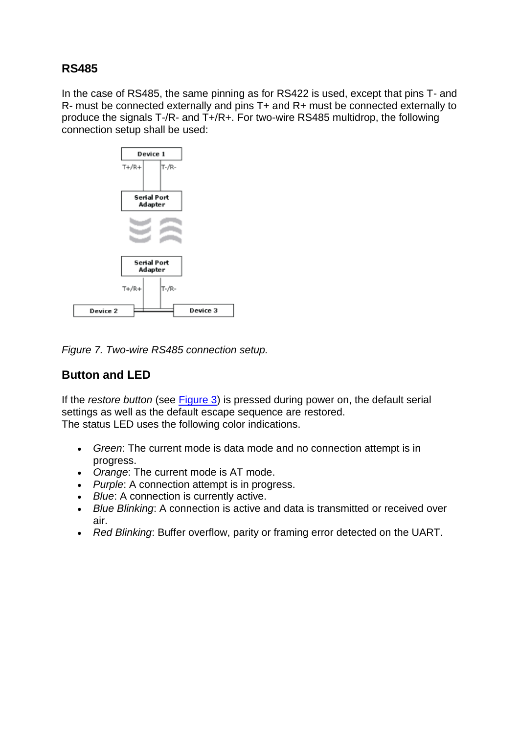### <span id="page-7-0"></span>**RS485**

In the case of RS485, the same pinning as for RS422 is used, except that pins T- and R- must be connected externally and pins T+ and R+ must be connected externally to produce the signals T-/R- and T+/R+. For two-wire RS485 multidrop, the following connection setup shall be used:



*Figure 7. Two-wire RS485 connection setup.*

## <span id="page-7-1"></span>**Button and LED**

If the *restore button* (see Figure 3) is pressed during power on, the default serial settings as well as the default escape sequence are restored. The status LED uses the following color indications.

- *Green*: The current mode is data mode and no connection attempt is in progress.
- *Orange*: The current mode is AT mode.
- *Purple*: A connection attempt is in progress.
- *Blue*: A connection is currently active.
- *Blue Blinking*: A connection is active and data is transmitted or received over air.
- *Red Blinking*: Buffer overflow, parity or framing error detected on the UART.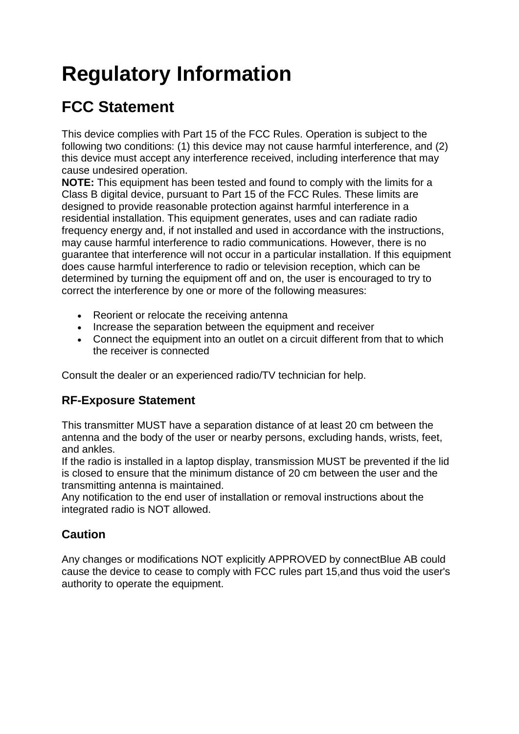# <span id="page-8-0"></span>**Regulatory Information**

# <span id="page-8-1"></span>**FCC Statement**

This device complies with Part 15 of the FCC Rules. Operation is subject to the following two conditions: (1) this device may not cause harmful interference, and (2) this device must accept any interference received, including interference that may cause undesired operation.

**NOTE:** This equipment has been tested and found to comply with the limits for a Class B digital device, pursuant to Part 15 of the FCC Rules. These limits are designed to provide reasonable protection against harmful interference in a residential installation. This equipment generates, uses and can radiate radio frequency energy and, if not installed and used in accordance with the instructions, may cause harmful interference to radio communications. However, there is no guarantee that interference will not occur in a particular installation. If this equipment does cause harmful interference to radio or television reception, which can be determined by turning the equipment off and on, the user is encouraged to try to correct the interference by one or more of the following measures:

- Reorient or relocate the receiving antenna
- Increase the separation between the equipment and receiver
- Connect the equipment into an outlet on a circuit different from that to which the receiver is connected

Consult the dealer or an experienced radio/TV technician for help.

# <span id="page-8-2"></span>**RF-Exposure Statement**

This transmitter MUST have a separation distance of at least 20 cm between the antenna and the body of the user or nearby persons, excluding hands, wrists, feet, and ankles.

If the radio is installed in a laptop display, transmission MUST be prevented if the lid is closed to ensure that the minimum distance of 20 cm between the user and the transmitting antenna is maintained.

Any notification to the end user of installation or removal instructions about the integrated radio is NOT allowed.

# <span id="page-8-3"></span>**Caution**

Any changes or modifications NOT explicitly APPROVED by connectBlue AB could cause the device to cease to comply with FCC rules part 15,and thus void the user's authority to operate the equipment.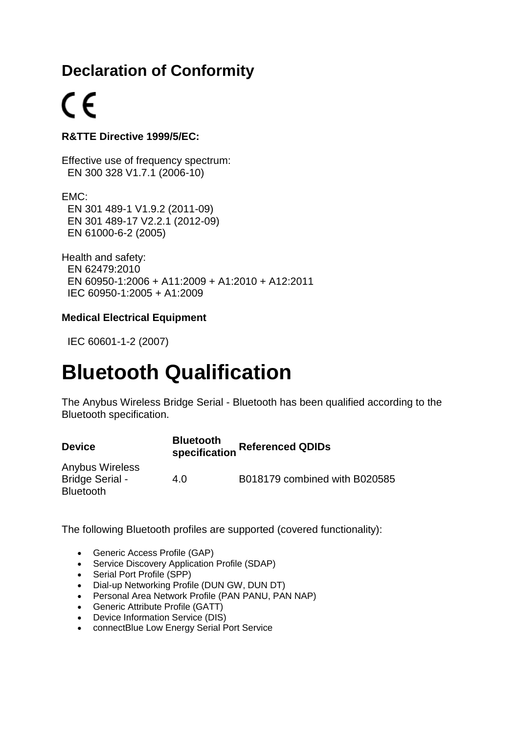# <span id="page-9-0"></span>**Declaration of Conformity**

# $\epsilon$

### **R&TTE Directive 1999/5/EC:**

Effective use of frequency spectrum: EN 300 328 V1.7.1 (2006-10)

EMC: EN 301 489-1 V1.9.2 (2011-09) EN 301 489-17 V2.2.1 (2012-09) EN 61000-6-2 (2005)

Health and safety: EN 62479:2010 EN 60950-1:2006 + A11:2009 + A1:2010 + A12:2011 IEC 60950-1:2005 + A1:2009

### **Medical Electrical Equipment**

IEC 60601-1-2 (2007)

# <span id="page-9-1"></span>**Bluetooth Qualification**

The Anybus Wireless Bridge Serial - Bluetooth has been qualified according to the Bluetooth specification.

| <b>Device</b>          | <b>Bluetooth</b> | <b>Referenced QDIDs</b><br>specification |  |
|------------------------|------------------|------------------------------------------|--|
| <b>Anybus Wireless</b> |                  |                                          |  |
| <b>Bridge Serial -</b> | 4.0              | B018179 combined with B020585            |  |
| <b>Bluetooth</b>       |                  |                                          |  |

The following Bluetooth profiles are supported (covered functionality):

- Generic Access Profile (GAP)
- Service Discovery Application Profile (SDAP)
- Serial Port Profile (SPP)
- Dial-up Networking Profile (DUN GW, DUN DT)
- Personal Area Network Profile (PAN PANU, PAN NAP)
- Generic Attribute Profile (GATT)
- Device Information Service (DIS)
- connectBlue Low Energy Serial Port Service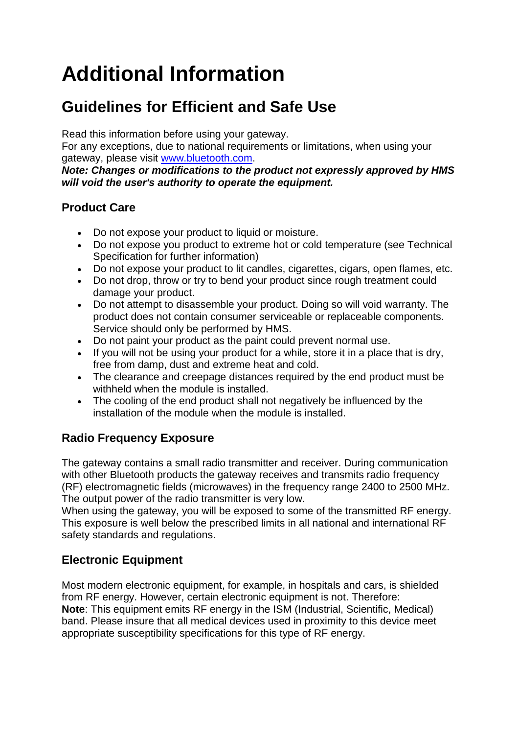# <span id="page-10-0"></span>**Additional Information**

# <span id="page-10-1"></span>**Guidelines for Efficient and Safe Use**

Read this information before using your gateway.

For any exceptions, due to national requirements or limitations, when using your gateway, please visit [www.bluetooth.com.](http://www.bluetooth.com/)

*Note: Changes or modifications to the product not expressly approved by HMS will void the user's authority to operate the equipment.*

# <span id="page-10-2"></span>**Product Care**

- Do not expose your product to liquid or moisture.
- Do not expose you product to extreme hot or cold temperature (see Technical Specification for further information)
- Do not expose your product to lit candles, cigarettes, cigars, open flames, etc.
- Do not drop, throw or try to bend your product since rough treatment could damage your product.
- Do not attempt to disassemble your product. Doing so will void warranty. The product does not contain consumer serviceable or replaceable components. Service should only be performed by HMS.
- Do not paint your product as the paint could prevent normal use.
- If you will not be using your product for a while, store it in a place that is dry, free from damp, dust and extreme heat and cold.
- The clearance and creepage distances required by the end product must be withheld when the module is installed.
- The cooling of the end product shall not negatively be influenced by the installation of the module when the module is installed.

# <span id="page-10-3"></span>**Radio Frequency Exposure**

The gateway contains a small radio transmitter and receiver. During communication with other Bluetooth products the gateway receives and transmits radio frequency (RF) electromagnetic fields (microwaves) in the frequency range 2400 to 2500 MHz. The output power of the radio transmitter is very low.

When using the gateway, you will be exposed to some of the transmitted RF energy. This exposure is well below the prescribed limits in all national and international RF safety standards and regulations.

# <span id="page-10-4"></span>**Electronic Equipment**

Most modern electronic equipment, for example, in hospitals and cars, is shielded from RF energy. However, certain electronic equipment is not. Therefore: **Note**: This equipment emits RF energy in the ISM (Industrial, Scientific, Medical) band. Please insure that all medical devices used in proximity to this device meet appropriate susceptibility specifications for this type of RF energy.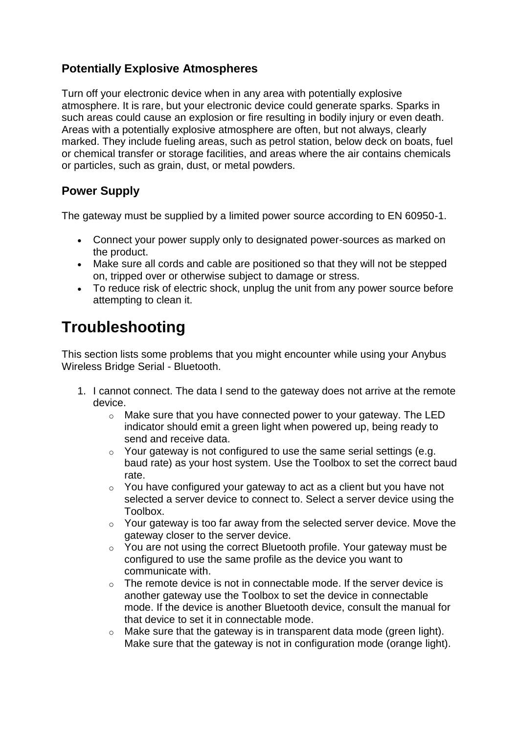## <span id="page-11-0"></span>**Potentially Explosive Atmospheres**

Turn off your electronic device when in any area with potentially explosive atmosphere. It is rare, but your electronic device could generate sparks. Sparks in such areas could cause an explosion or fire resulting in bodily injury or even death. Areas with a potentially explosive atmosphere are often, but not always, clearly marked. They include fueling areas, such as petrol station, below deck on boats, fuel or chemical transfer or storage facilities, and areas where the air contains chemicals or particles, such as grain, dust, or metal powders.

## <span id="page-11-1"></span>**Power Supply**

The gateway must be supplied by a limited power source according to EN 60950-1.

- Connect your power supply only to designated power-sources as marked on the product.
- Make sure all cords and cable are positioned so that they will not be stepped on, tripped over or otherwise subject to damage or stress.
- To reduce risk of electric shock, unplug the unit from any power source before attempting to clean it.

# <span id="page-11-2"></span>**Troubleshooting**

This section lists some problems that you might encounter while using your Anybus Wireless Bridge Serial - Bluetooth.

- 1. I cannot connect. The data I send to the gateway does not arrive at the remote device.
	- o Make sure that you have connected power to your gateway. The LED indicator should emit a green light when powered up, being ready to send and receive data.
	- $\circ$  Your gateway is not configured to use the same serial settings (e.g. baud rate) as your host system. Use the Toolbox to set the correct baud rate.
	- $\circ$  You have configured your gateway to act as a client but you have not selected a server device to connect to. Select a server device using the Toolbox.
	- o Your gateway is too far away from the selected server device. Move the gateway closer to the server device.
	- o You are not using the correct Bluetooth profile. Your gateway must be configured to use the same profile as the device you want to communicate with.
	- $\circ$  The remote device is not in connectable mode. If the server device is another gateway use the Toolbox to set the device in connectable mode. If the device is another Bluetooth device, consult the manual for that device to set it in connectable mode.
	- $\circ$  Make sure that the gateway is in transparent data mode (green light). Make sure that the gateway is not in configuration mode (orange light).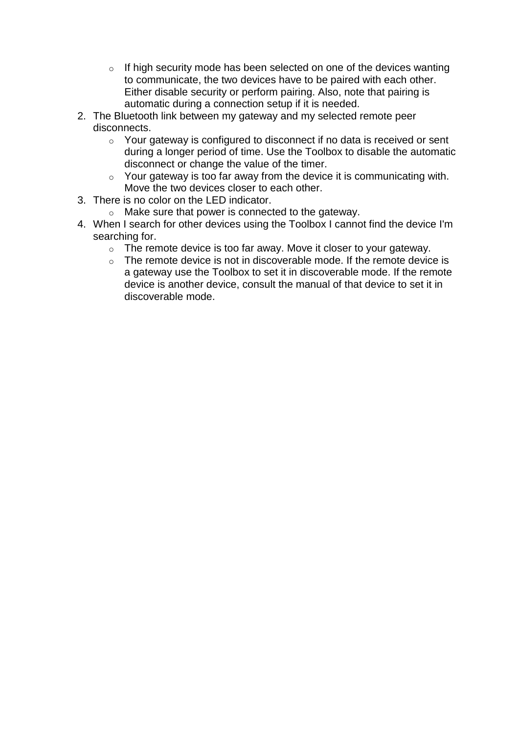- $\circ$  If high security mode has been selected on one of the devices wanting to communicate, the two devices have to be paired with each other. Either disable security or perform pairing. Also, note that pairing is automatic during a connection setup if it is needed.
- 2. The Bluetooth link between my gateway and my selected remote peer disconnects.
	- o Your gateway is configured to disconnect if no data is received or sent during a longer period of time. Use the Toolbox to disable the automatic disconnect or change the value of the timer.
	- $\circ$  Your gateway is too far away from the device it is communicating with. Move the two devices closer to each other.
- 3. There is no color on the LED indicator.
	- o Make sure that power is connected to the gateway.
- 4. When I search for other devices using the Toolbox I cannot find the device I'm searching for.
	- o The remote device is too far away. Move it closer to your gateway.
	- $\circ$  The remote device is not in discoverable mode. If the remote device is a gateway use the Toolbox to set it in discoverable mode. If the remote device is another device, consult the manual of that device to set it in discoverable mode.